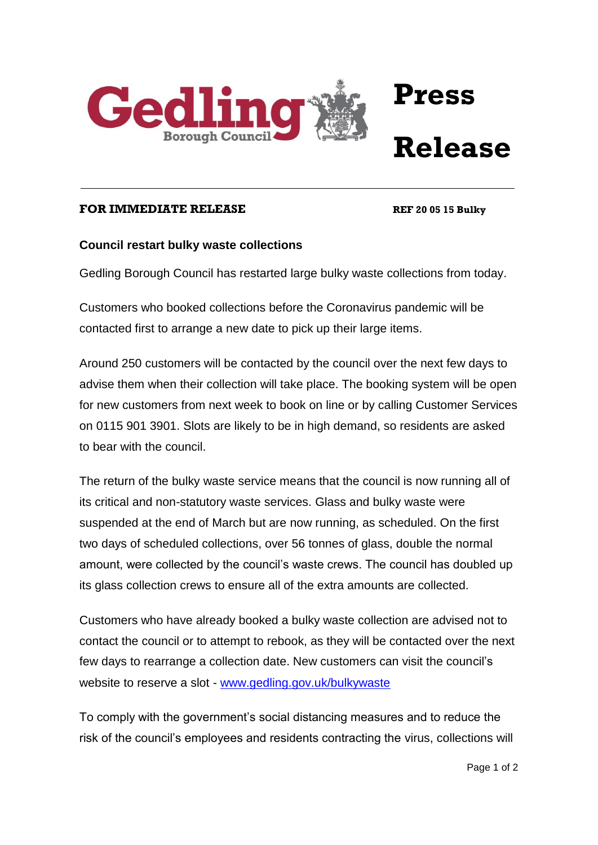

## **Press Release**

## **FOR IMMEDIATE RELEASE REF 20 05 15 Bulky**

## **Council restart bulky waste collections**

Gedling Borough Council has restarted large bulky waste collections from today.

Customers who booked collections before the Coronavirus pandemic will be contacted first to arrange a new date to pick up their large items.

Around 250 customers will be contacted by the council over the next few days to advise them when their collection will take place. The booking system will be open for new customers from next week to book on line or by calling Customer Services on 0115 901 3901. Slots are likely to be in high demand, so residents are asked to bear with the council.

The return of the bulky waste service means that the council is now running all of its critical and non-statutory waste services. Glass and bulky waste were suspended at the end of March but are now running, as scheduled. On the first two days of scheduled collections, over 56 tonnes of glass, double the normal amount, were collected by the council's waste crews. The council has doubled up its glass collection crews to ensure all of the extra amounts are collected.

Customers who have already booked a bulky waste collection are advised not to contact the council or to attempt to rebook, as they will be contacted over the next few days to rearrange a collection date. New customers can visit the council's website to reserve a slot - [www.gedling.gov.uk/bulkywaste](http://www.gedling.gov.uk/bulkywaste)

To comply with the government's social distancing measures and to reduce the risk of the council's employees and residents contracting the virus, collections will